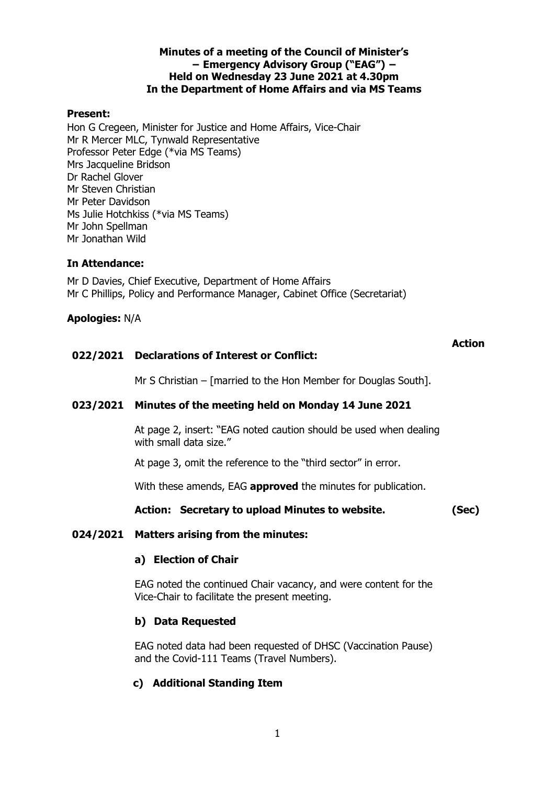## **Minutes of a meeting of the Council of Minister's − Emergency Advisory Group ("EAG") − Held on Wednesday 23 June 2021 at 4.30pm In the Department of Home Affairs and via MS Teams**

## **Present:**

Hon G Cregeen, Minister for Justice and Home Affairs, Vice-Chair Mr R Mercer MLC, Tynwald Representative Professor Peter Edge (\*via MS Teams) Mrs Jacqueline Bridson Dr Rachel Glover Mr Steven Christian Mr Peter Davidson Ms Julie Hotchkiss (\*via MS Teams) Mr John Spellman Mr Jonathan Wild

## **In Attendance:**

Mr D Davies, Chief Executive, Department of Home Affairs Mr C Phillips, Policy and Performance Manager, Cabinet Office (Secretariat)

## **Apologies:** N/A

## **022/2021 Declarations of Interest or Conflict:**

# **Action**

Mr S Christian – [married to the Hon Member for Douglas South].

## **023/2021 Minutes of the meeting held on Monday 14 June 2021**

At page 2, insert: "EAG noted caution should be used when dealing with small data size."

At page 3, omit the reference to the "third sector" in error.

With these amends, EAG **approved** the minutes for publication.

**Action: Secretary to upload Minutes to website. (Sec)**

## **024/2021 Matters arising from the minutes:**

## **a) Election of Chair**

EAG noted the continued Chair vacancy, and were content for the Vice-Chair to facilitate the present meeting.

## **b) Data Requested**

EAG noted data had been requested of DHSC (Vaccination Pause) and the Covid-111 Teams (Travel Numbers).

## **c) Additional Standing Item**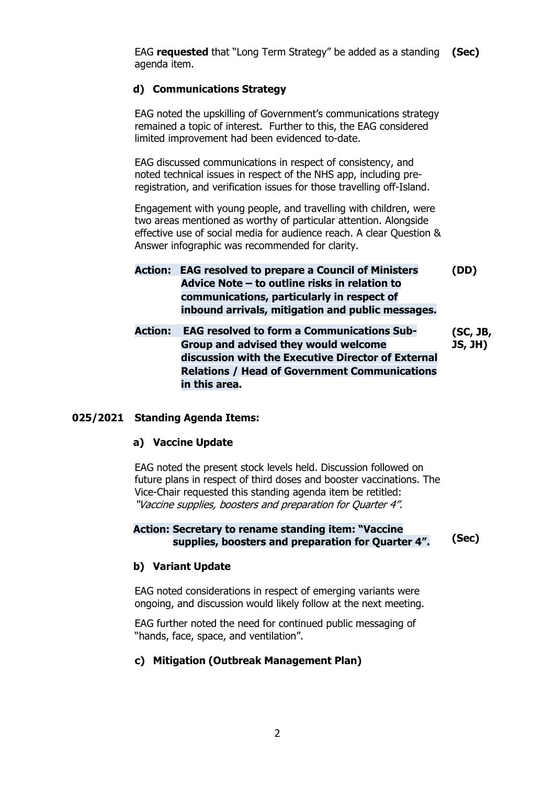EAG **requested** that "Long Term Strategy" be added as a standing **(Sec)** agenda item.

## **d) Communications Strategy**

EAG noted the upskilling of Government's communications strategy remained a topic of interest. Further to this, the EAG considered limited improvement had been evidenced to-date.

EAG discussed communications in respect of consistency, and noted technical issues in respect of the NHS app, including preregistration, and verification issues for those travelling off-Island.

Engagement with young people, and travelling with children, were two areas mentioned as worthy of particular attention. Alongside effective use of social media for audience reach. A clear Question & Answer infographic was recommended for clarity.

**Action: EAG resolved to prepare a Council of Ministers Advice Note – to outline risks in relation to communications, particularly in respect of inbound arrivals, mitigation and public messages. (DD)**

**Action: EAG resolved to form a Communications Sub-Group and advised they would welcome discussion with the Executive Director of External Relations / Head of Government Communications in this area. (SC, JB, JS, JH)**

### **025/2021 Standing Agenda Items:**

### **a) Vaccine Update**

EAG noted the present stock levels held. Discussion followed on future plans in respect of third doses and booster vaccinations. The Vice-Chair requested this standing agenda item be retitled: "Vaccine supplies, boosters and preparation for Quarter 4".

### **Action: Secretary to rename standing item: "Vaccine supplies, boosters and preparation for Quarter 4". (Sec)**

### **b) Variant Update**

EAG noted considerations in respect of emerging variants were ongoing, and discussion would likely follow at the next meeting.

EAG further noted the need for continued public messaging of "hands, face, space, and ventilation".

### **c) Mitigation (Outbreak Management Plan)**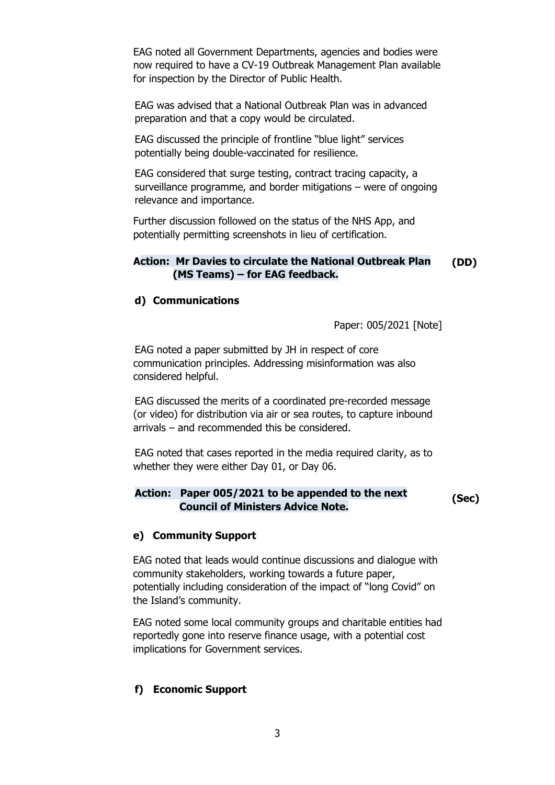EAG noted all Government Departments, agencies and bodies were now required to have a CV-19 Outbreak Management Plan available for inspection by the Director of Public Health.

EAG was advised that a National Outbreak Plan was in advanced preparation and that a copy would be circulated.

EAG discussed the principle of frontline "blue light" services potentially being double-vaccinated for resilience.

EAG considered that surge testing, contract tracing capacity, a surveillance programme, and border mitigations – were of ongoing relevance and importance.

Further discussion followed on the status of the NHS App, and potentially permitting screenshots in lieu of certification.

#### **Action: Mr Davies to circulate the National Outbreak Plan (MS Teams) – for EAG feedback. (DD)**

#### **d) Communications**

Paper: 005/2021 [Note]

EAG noted a paper submitted by JH in respect of core communication principles. Addressing misinformation was also considered helpful.

EAG discussed the merits of a coordinated pre-recorded message (or video) for distribution via air or sea routes, to capture inbound arrivals – and recommended this be considered.

EAG noted that cases reported in the media required clarity, as to whether they were either Day 01, or Day 06.

### **Action: Paper 005/2021 to be appended to the next Council of Ministers Advice Note. (Sec)**

#### **e) Community Support**

EAG noted that leads would continue discussions and dialogue with community stakeholders, working towards a future paper, potentially including consideration of the impact of "long Covid" on the Island's community.

EAG noted some local community groups and charitable entities had reportedly gone into reserve finance usage, with a potential cost implications for Government services.

#### **f) Economic Support**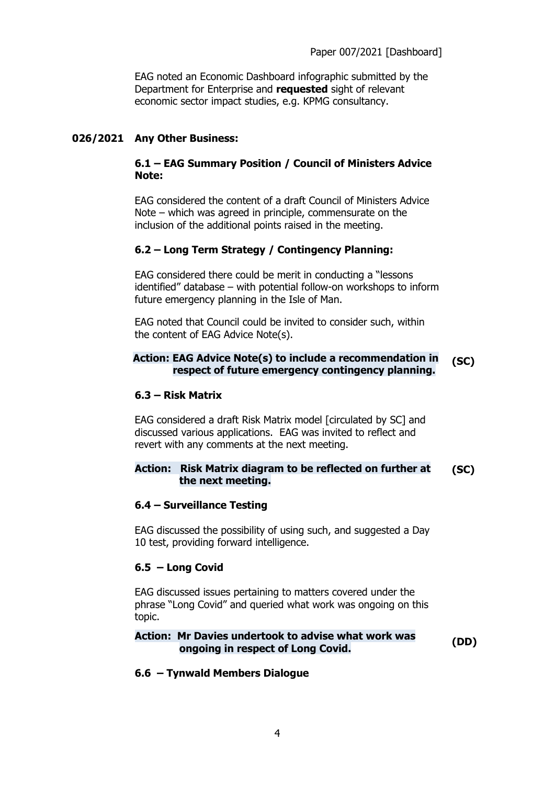EAG noted an Economic Dashboard infographic submitted by the Department for Enterprise and **requested** sight of relevant economic sector impact studies, e.g. KPMG consultancy.

## **026/2021 Any Other Business:**

## **6.1 – EAG Summary Position / Council of Ministers Advice Note:**

EAG considered the content of a draft Council of Ministers Advice Note – which was agreed in principle, commensurate on the inclusion of the additional points raised in the meeting.

## **6.2 – Long Term Strategy / Contingency Planning:**

EAG considered there could be merit in conducting a "lessons identified" database – with potential follow-on workshops to inform future emergency planning in the Isle of Man.

EAG noted that Council could be invited to consider such, within the content of EAG Advice Note(s).

## **Action: EAG Advice Note(s) to include a recommendation in respect of future emergency contingency planning. (SC)**

### **6.3 – Risk Matrix**

EAG considered a draft Risk Matrix model [circulated by SC] and discussed various applications. EAG was invited to reflect and revert with any comments at the next meeting.

#### **Action: Risk Matrix diagram to be reflected on further at the next meeting. (SC)**

### **6.4 – Surveillance Testing**

EAG discussed the possibility of using such, and suggested a Day 10 test, providing forward intelligence.

## **6.5 – Long Covid**

EAG discussed issues pertaining to matters covered under the phrase "Long Covid" and queried what work was ongoing on this topic.

### **Action: Mr Davies undertook to advise what work was ongoing in respect of Long Covid. (DD)**

### **6.6 – Tynwald Members Dialogue**